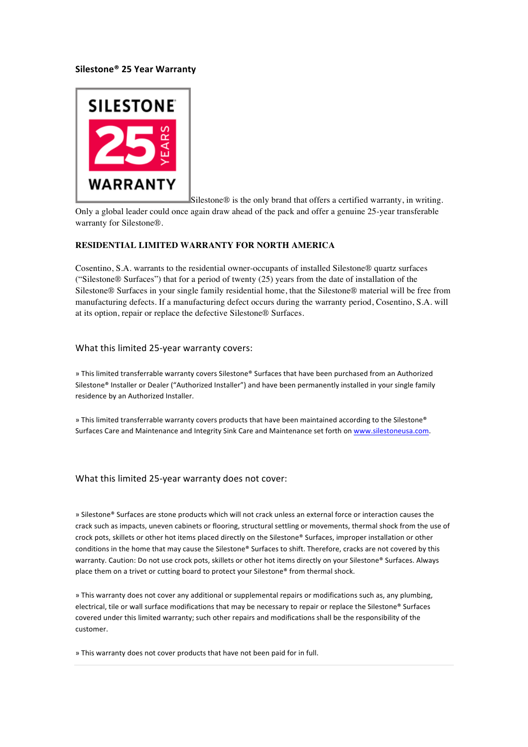## **Silestone® 25 Year Warranty**



Silestone<sup>®</sup> is the only brand that offers a certified warranty, in writing. Only a global leader could once again draw ahead of the pack and offer a genuine 25-year transferable warranty for Silestone®.

## **RESIDENTIAL LIMITED WARRANTY FOR NORTH AMERICA**

Cosentino, S.A. warrants to the residential owner-occupants of installed Silestone® quartz surfaces ("Silestone® Surfaces") that for a period of twenty  $(25)$  years from the date of installation of the Silestone® Surfaces in your single family residential home, that the Silestone® material will be free from manufacturing defects. If a manufacturing defect occurs during the warranty period, Cosentino, S.A. will at its option, repair or replace the defective Silestone® Surfaces.

## What this limited 25-year warranty covers:

» This limited transferrable warranty covers Silestone® Surfaces that have been purchased from an Authorized Silestone® Installer or Dealer ("Authorized Installer") and have been permanently installed in your single family residence by an Authorized Installer.

» This limited transferrable warranty covers products that have been maintained according to the Silestone® Surfaces Care and Maintenance and Integrity Sink Care and Maintenance set forth on www.silestoneusa.com.

What this limited 25-year warranty does not cover:

» Silestone® Surfaces are stone products which will not crack unless an external force or interaction causes the crack such as impacts, uneven cabinets or flooring, structural settling or movements, thermal shock from the use of crock pots, skillets or other hot items placed directly on the Silestone® Surfaces, improper installation or other conditions in the home that may cause the Silestone® Surfaces to shift. Therefore, cracks are not covered by this warranty. Caution: Do not use crock pots, skillets or other hot items directly on your Silestone® Surfaces. Always place them on a trivet or cutting board to protect your Silestone® from thermal shock.

» This warranty does not cover any additional or supplemental repairs or modifications such as, any plumbing, electrical, tile or wall surface modifications that may be necessary to repair or replace the Silestone® Surfaces covered under this limited warranty; such other repairs and modifications shall be the responsibility of the customer.

» This warranty does not cover products that have not been paid for in full.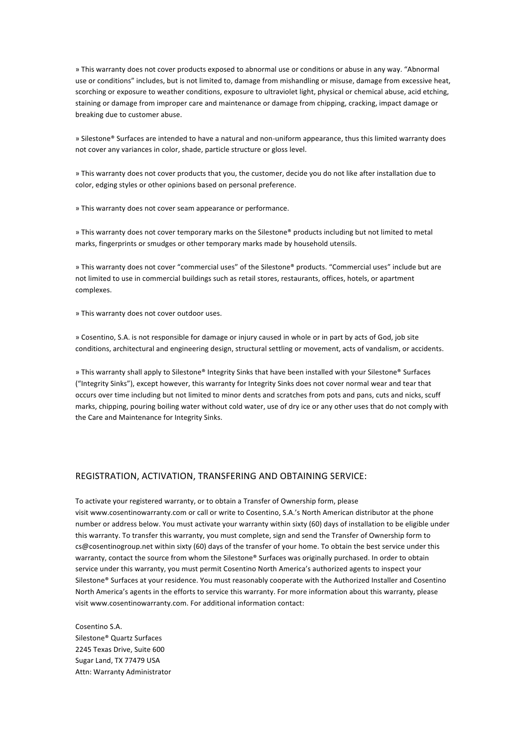» This warranty does not cover products exposed to abnormal use or conditions or abuse in any way. "Abnormal use or conditions" includes, but is not limited to, damage from mishandling or misuse, damage from excessive heat, scorching or exposure to weather conditions, exposure to ultraviolet light, physical or chemical abuse, acid etching, staining or damage from improper care and maintenance or damage from chipping, cracking, impact damage or breaking due to customer abuse.

» Silestone® Surfaces are intended to have a natural and non-uniform appearance, thus this limited warranty does not cover any variances in color, shade, particle structure or gloss level.

» This warranty does not cover products that you, the customer, decide you do not like after installation due to color, edging styles or other opinions based on personal preference.

» This warranty does not cover seam appearance or performance.

» This warranty does not cover temporary marks on the Silestone® products including but not limited to metal marks, fingerprints or smudges or other temporary marks made by household utensils.

» This warranty does not cover "commercial uses" of the Silestone® products. "Commercial uses" include but are not limited to use in commercial buildings such as retail stores, restaurants, offices, hotels, or apartment complexes.

» This warranty does not cover outdoor uses.

» Cosentino, S.A. is not responsible for damage or injury caused in whole or in part by acts of God, job site conditions, architectural and engineering design, structural settling or movement, acts of vandalism, or accidents.

» This warranty shall apply to Silestone® Integrity Sinks that have been installed with your Silestone® Surfaces ("Integrity Sinks"), except however, this warranty for Integrity Sinks does not cover normal wear and tear that occurs over time including but not limited to minor dents and scratches from pots and pans, cuts and nicks, scuff marks, chipping, pouring boiling water without cold water, use of dry ice or any other uses that do not comply with the Care and Maintenance for Integrity Sinks.

## REGISTRATION, ACTIVATION, TRANSFERING AND OBTAINING SERVICE:

To activate vour registered warranty, or to obtain a Transfer of Ownership form, please visit www.cosentinowarranty.com or call or write to Cosentino, S.A.'s North American distributor at the phone number or address below. You must activate your warranty within sixty (60) days of installation to be eligible under this warranty. To transfer this warranty, you must complete, sign and send the Transfer of Ownership form to cs@cosentinogroup.net within sixty (60) days of the transfer of your home. To obtain the best service under this warranty, contact the source from whom the Silestone® Surfaces was originally purchased. In order to obtain service under this warranty, you must permit Cosentino North America's authorized agents to inspect your Silestone® Surfaces at vour residence. You must reasonably cooperate with the Authorized Installer and Cosentino North America's agents in the efforts to service this warranty. For more information about this warranty, please visit www.cosentinowarranty.com. For additional information contact:

Cosentino S.A. Silestone® Quartz Surfaces 2245 Texas Drive, Suite 600 Sugar Land, TX 77479 USA Attn: Warranty Administrator